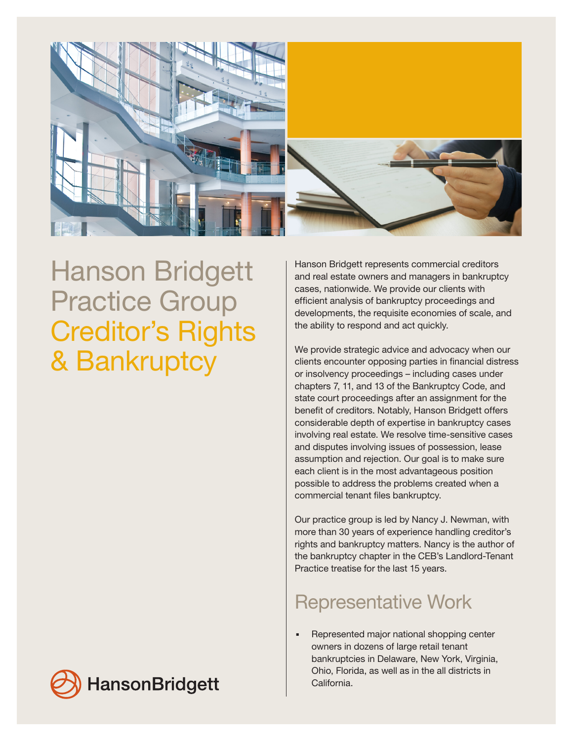

## Hanson Bridgett Practice Group Creditor's Rights & Bankruptcy

Hanson Bridgett represents commercial creditors and real estate owners and managers in bankruptcy cases, nationwide. We provide our clients with efficient analysis of bankruptcy proceedings and developments, the requisite economies of scale, and the ability to respond and act quickly.

We provide strategic advice and advocacy when our clients encounter opposing parties in financial distress or insolvency proceedings – including cases under chapters 7, 11, and 13 of the Bankruptcy Code, and state court proceedings after an assignment for the benefit of creditors. Notably, Hanson Bridgett offers considerable depth of expertise in bankruptcy cases involving real estate. We resolve time-sensitive cases and disputes involving issues of possession, lease assumption and rejection. Our goal is to make sure each client is in the most advantageous position possible to address the problems created when a commercial tenant files bankruptcy.

Our practice group is led by Nancy J. Newman, with more than 30 years of experience handling creditor's rights and bankruptcy matters. Nancy is the author of the bankruptcy chapter in the CEB's Landlord-Tenant Practice treatise for the last 15 years.

## Representative Work

. Represented major national shopping center owners in dozens of large retail tenant bankruptcies in Delaware, New York, Virginia, Ohio, Florida, as well as in the all districts in California.